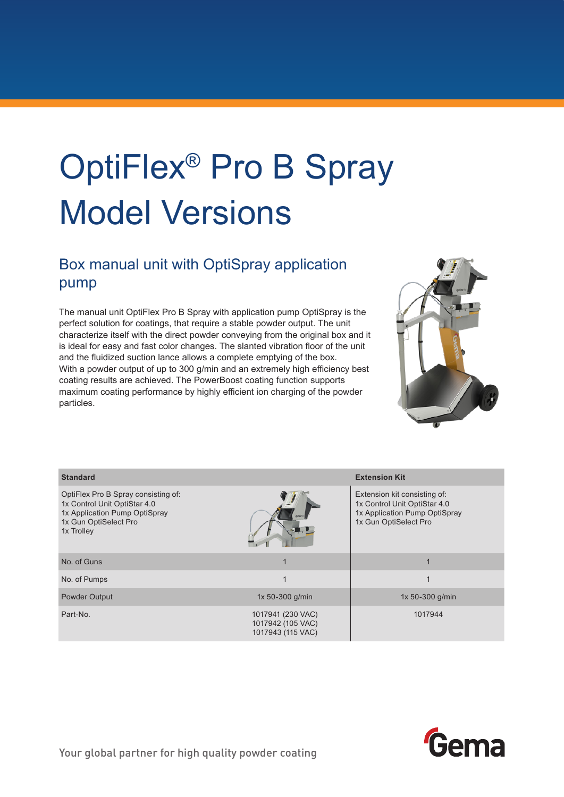## OptiFlex® Pro B Spray Model Versions

## Box manual unit with OptiSpray application pump

The manual unit OptiFlex Pro B Spray with application pump OptiSpray is the perfect solution for coatings, that require a stable powder output. The unit characterize itself with the direct powder conveying from the original box and it is ideal for easy and fast color changes. The slanted vibration floor of the unit and the fluidized suction lance allows a complete emptying of the box. With a powder output of up to 300 g/min and an extremely high efficiency best coating results are achieved. The PowerBoost coating function supports maximum coating performance by highly efficient ion charging of the powder particles.



| <b>Standard</b>                                                                                                                             |                                                             | <b>Extension Kit</b>                                                                                                   |
|---------------------------------------------------------------------------------------------------------------------------------------------|-------------------------------------------------------------|------------------------------------------------------------------------------------------------------------------------|
| OptiFlex Pro B Spray consisting of:<br>1x Control Unit OptiStar 4.0<br>1x Application Pump OptiSpray<br>1x Gun OptiSelect Pro<br>1x Trolley |                                                             | Extension kit consisting of:<br>1x Control Unit OptiStar 4.0<br>1x Application Pump OptiSpray<br>1x Gun OptiSelect Pro |
| No. of Guns                                                                                                                                 |                                                             |                                                                                                                        |
| No. of Pumps                                                                                                                                |                                                             | 1                                                                                                                      |
| Powder Output                                                                                                                               | 1x 50-300 g/min                                             | 1x 50-300 g/min                                                                                                        |
| Part-No.                                                                                                                                    | 1017941 (230 VAC)<br>1017942 (105 VAC)<br>1017943 (115 VAC) | 1017944                                                                                                                |